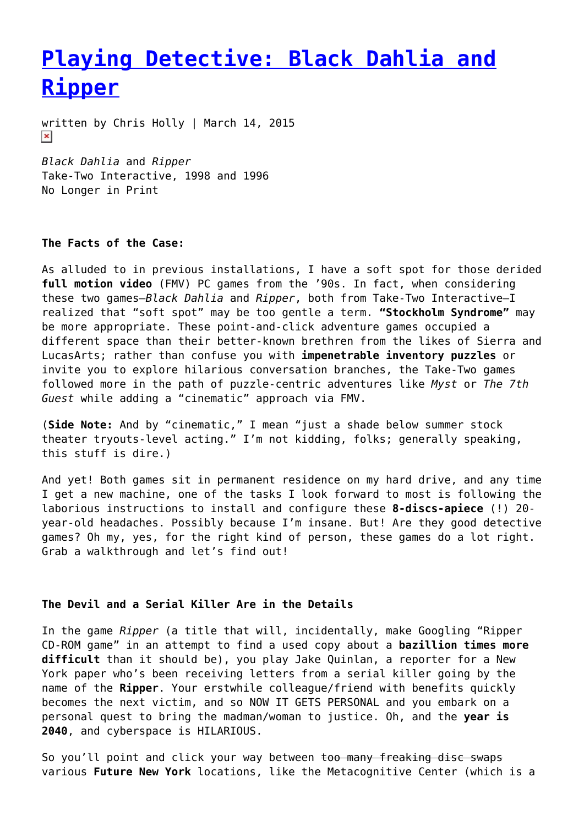# **[Playing Detective: Black Dahlia and](https://entropymag.org/playing-detective-black-dahlia-and-ripper/) [Ripper](https://entropymag.org/playing-detective-black-dahlia-and-ripper/)**

written by Chris Holly | March 14, 2015  $\pmb{\times}$ 

*Black Dahlia* and *Ripper* Take-Two Interactive, 1998 and 1996 No Longer in Print

## **The Facts of the Case:**

As alluded to in previous installations, I have a soft spot for those derided **full motion video** (FMV) PC games from the '90s. In fact, when considering these two games–*Black Dahlia* and *Ripper*, both from Take-Two Interactive–I realized that "soft spot" may be too gentle a term. **"Stockholm Syndrome"** may be more appropriate. These point-and-click adventure games occupied a different space than their better-known brethren from the likes of Sierra and LucasArts; rather than confuse you with **impenetrable inventory puzzles** or invite you to explore hilarious conversation branches, the Take-Two games followed more in the path of puzzle-centric adventures like *Myst* or *The 7th Guest* while adding a "cinematic" approach via FMV.

(**Side Note:** And by "cinematic," I mean "just a shade below summer stock theater tryouts-level acting." I'm not kidding, folks; generally speaking, this stuff is dire.)

And yet! Both games sit in permanent residence on my hard drive, and any time I get a new machine, one of the tasks I look forward to most is following the laborious instructions to install and configure these **8-discs-apiece** (!) 20 year-old headaches. Possibly because I'm insane. But! Are they good detective games? Oh my, yes, for the right kind of person, these games do a lot right. Grab a walkthrough and let's find out!

## **The Devil and a Serial Killer Are in the Details**

In the game *Ripper* (a title that will, incidentally, make Googling "Ripper CD-ROM game" in an attempt to find a used copy about a **bazillion times more difficult** than it should be), you play Jake Quinlan, a reporter for a New York paper who's been receiving letters from a serial killer going by the name of the **Ripper**. Your erstwhile colleague/friend with benefits quickly becomes the next victim, and so NOW IT GETS PERSONAL and you embark on a personal quest to bring the madman/woman to justice. Oh, and the **year is 2040**, and cyberspace is HILARIOUS.

So you'll point and click your way between too many freaking disc swaps various **Future New York** locations, like the Metacognitive Center (which is a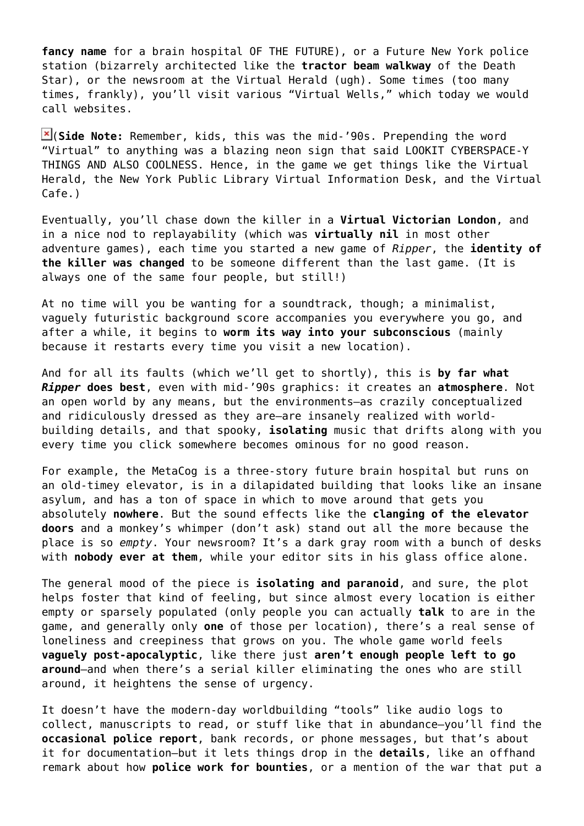**fancy name** for a brain hospital OF THE FUTURE), or a Future New York police station (bizarrely architected like the **tractor beam walkway** of the Death Star), or the newsroom at the Virtual Herald (ugh). Some times (too many times, frankly), you'll visit various "Virtual Wells," which today we would call websites.

(**Side Note:** Remember, kids, this was the mid-'90s. Prepending the word "Virtual" to anything was a blazing neon sign that said LOOKIT CYBERSPACE-Y THINGS AND ALSO COOLNESS. Hence, in the game we get things like the Virtual Herald, the New York Public Library Virtual Information Desk, and the Virtual Cafe.)

Eventually, you'll chase down the killer in a **Virtual Victorian London**, and in a nice nod to replayability (which was **virtually nil** in most other adventure games), each time you started a new game of *Ripper*, the **identity of the killer was changed** to be someone different than the last game. (It is always one of the same four people, but still!)

At no time will you be wanting for a soundtrack, though; a minimalist, vaguely futuristic background score accompanies you everywhere you go, and after a while, it begins to **worm its way into your subconscious** (mainly because it restarts every time you visit a new location).

And for all its faults (which we'll get to shortly), this is **by far what** *Ripper* **does best**, even with mid-'90s graphics: it creates an **atmosphere**. Not an open world by any means, but the environments–as crazily conceptualized and ridiculously dressed as they are–are insanely realized with worldbuilding details, and that spooky, **isolating** music that drifts along with you every time you click somewhere becomes ominous for no good reason.

For example, the MetaCog is a three-story future brain hospital but runs on an old-timey elevator, is in a dilapidated building that looks like an insane asylum, and has a ton of space in which to move around that gets you absolutely **nowhere**. But the sound effects like the **clanging of the elevator doors** and a monkey's whimper (don't ask) stand out all the more because the place is so *empty*. Your newsroom? It's a dark gray room with a bunch of desks with **nobody ever at them**, while your editor sits in his glass office alone.

The general mood of the piece is **isolating and paranoid**, and sure, the plot helps foster that kind of feeling, but since almost every location is either empty or sparsely populated (only people you can actually **talk** to are in the game, and generally only **one** of those per location), there's a real sense of loneliness and creepiness that grows on you. The whole game world feels **vaguely post-apocalyptic**, like there just **aren't enough people left to go around**–and when there's a serial killer eliminating the ones who are still around, it heightens the sense of urgency.

It doesn't have the modern-day worldbuilding "tools" like audio logs to collect, manuscripts to read, or stuff like that in abundance–you'll find the **occasional police report**, bank records, or phone messages, but that's about it for documentation–but it lets things drop in the **details**, like an offhand remark about how **police work for bounties**, or a mention of the war that put a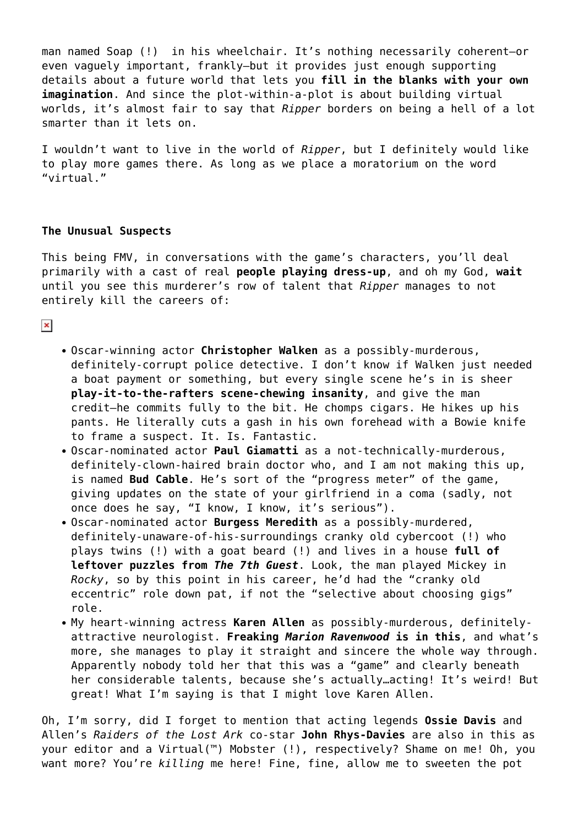man named Soap (!) in his wheelchair. It's nothing necessarily coherent–or even vaguely important, frankly–but it provides just enough supporting details about a future world that lets you **fill in the blanks with your own imagination**. And since the plot-within-a-plot is about building virtual worlds, it's almost fair to say that *Ripper* borders on being a hell of a lot smarter than it lets on.

I wouldn't want to live in the world of *Ripper*, but I definitely would like to play more games there. As long as we place a moratorium on the word "virtual."

## **The Unusual Suspects**

This being FMV, in conversations with the game's characters, you'll deal primarily with a cast of real **people playing dress-up**, and oh my God, **wait** until you see this murderer's row of talent that *Ripper* manages to not entirely kill the careers of:

 $\pmb{\times}$ 

- Oscar-winning actor **Christopher Walken** as a possibly-murderous, definitely-corrupt police detective. I don't know if Walken just needed a boat payment or something, but every single scene he's in is sheer **play-it-to-the-rafters scene-chewing insanity**, and give the man credit–he commits fully to the bit. He chomps cigars. He hikes up his pants. He literally cuts a gash in his own forehead with a Bowie knife to frame a suspect. It. Is. Fantastic.
- Oscar-nominated actor **Paul Giamatti** as a not-technically-murderous, definitely-clown-haired brain doctor who, and I am not making this up, is named **Bud Cable**. He's sort of the "progress meter" of the game, giving updates on the state of your girlfriend in a coma (sadly, not once does he say, "I know, I know, it's serious").
- Oscar-nominated actor **Burgess Meredith** as a possibly-murdered, definitely-unaware-of-his-surroundings cranky old cybercoot (!) who plays twins (!) with a goat beard (!) and lives in a house **full of leftover puzzles from** *The 7th Guest*. Look, the man played Mickey in *Rocky*, so by this point in his career, he'd had the "cranky old eccentric" role down pat, if not the "selective about choosing gigs" role.
- My heart-winning actress **Karen Allen** as possibly-murderous, definitelyattractive neurologist. **Freaking** *Marion Ravenwood* **is in this**, and what's more, she manages to play it straight and sincere the whole way through. Apparently nobody told her that this was a "game" and clearly beneath her considerable talents, because she's actually…acting! It's weird! But great! What I'm saying is that I might love Karen Allen.

Oh, I'm sorry, did I forget to mention that acting legends **Ossie Davis** and Allen's *Raiders of the Lost Ark* co-star **John Rhys-Davies** are also in this as your editor and a Virtual(™) Mobster (!), respectively? Shame on me! Oh, you want more? You're *killing* me here! Fine, fine, allow me to sweeten the pot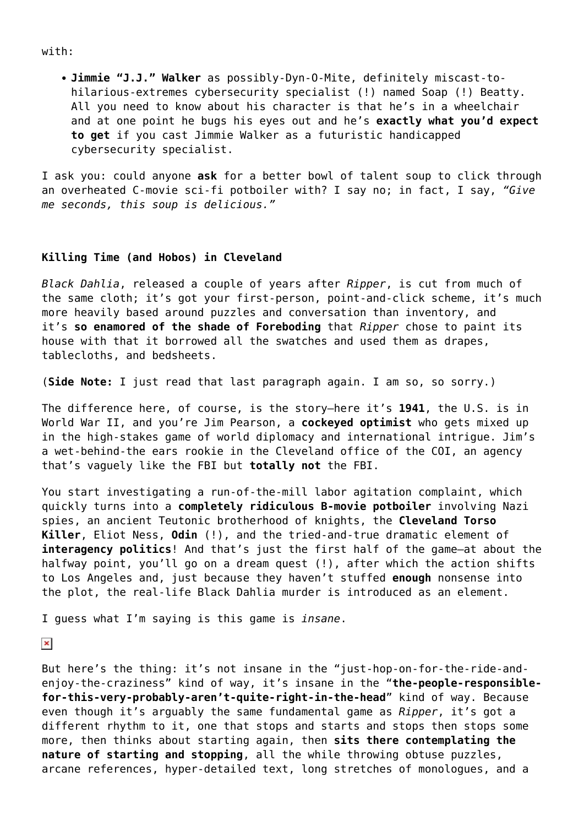with:

**Jimmie "J.J." Walker** as possibly-Dyn-O-Mite, definitely miscast-tohilarious-extremes cybersecurity specialist (!) named Soap (!) Beatty. All you need to know about his character is that he's in a wheelchair and at one point he bugs his eyes out and he's **exactly what you'd expect to get** if you cast Jimmie Walker as a futuristic handicapped cybersecurity specialist.

I ask you: could anyone **ask** for a better bowl of talent soup to click through an overheated C-movie sci-fi potboiler with? I say no; in fact, I say, *"Give me seconds, this soup is delicious."*

#### **Killing Time (and Hobos) in Cleveland**

*Black Dahlia*, released a couple of years after *Ripper*, is cut from much of the same cloth; it's got your first-person, point-and-click scheme, it's much more heavily based around puzzles and conversation than inventory, and it's **so enamored of the shade of Foreboding** that *Ripper* chose to paint its house with that it borrowed all the swatches and used them as drapes, tablecloths, and bedsheets.

(**Side Note:** I just read that last paragraph again. I am so, so sorry.)

The difference here, of course, is the story–here it's **1941**, the U.S. is in World War II, and you're Jim Pearson, a **cockeyed optimist** who gets mixed up in the high-stakes game of world diplomacy and international intrigue. Jim's a wet-behind-the ears rookie in the Cleveland office of the COI, an agency that's vaguely like the FBI but **totally not** the FBI.

You start investigating a run-of-the-mill labor agitation complaint, which quickly turns into a **completely ridiculous B-movie potboiler** involving Nazi spies, an ancient Teutonic brotherhood of knights, the **Cleveland Torso Killer**, Eliot Ness, **Odin** (!), and the tried-and-true dramatic element of **interagency politics**! And that's just the first half of the game–at about the halfway point, you'll go on a dream quest (!), after which the action shifts to Los Angeles and, just because they haven't stuffed **enough** nonsense into the plot, the real-life Black Dahlia murder is introduced as an element.

I guess what I'm saying is this game is *insane*.

 $\pmb{\times}$ 

But here's the thing: it's not insane in the "just-hop-on-for-the-ride-andenjoy-the-craziness" kind of way, it's insane in the "**the-people-responsiblefor-this-very-probably-aren't-quite-right-in-the-head**" kind of way. Because even though it's arguably the same fundamental game as *Ripper*, it's got a different rhythm to it, one that stops and starts and stops then stops some more, then thinks about starting again, then **sits there contemplating the nature of starting and stopping**, all the while throwing obtuse puzzles, arcane references, hyper-detailed text, long stretches of monologues, and a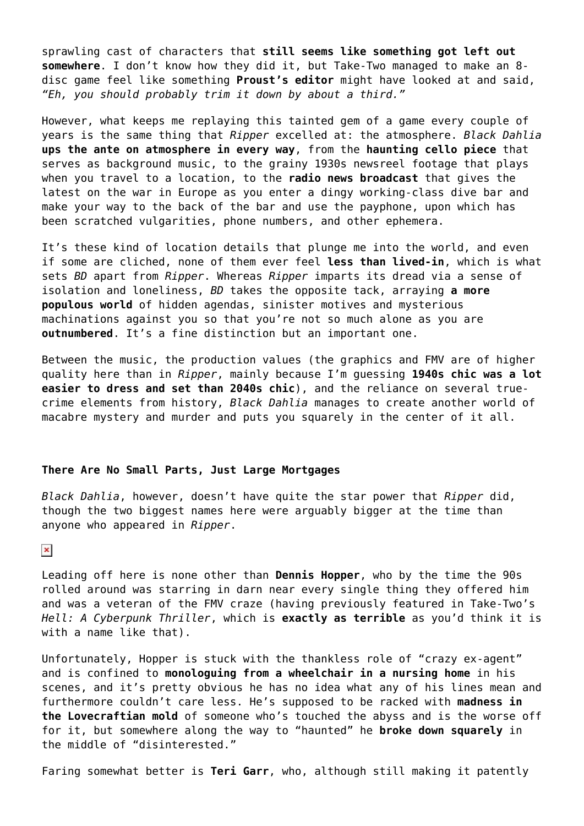sprawling cast of characters that **still seems like something got left out somewhere**. I don't know how they did it, but Take-Two managed to make an 8 disc game feel like something **Proust's editor** might have looked at and said, *"Eh, you should probably trim it down by about a third."*

However, what keeps me replaying this tainted gem of a game every couple of years is the same thing that *Ripper* excelled at: the atmosphere. *Black Dahlia* **ups the ante on atmosphere in every way**, from the **haunting cello piece** that serves as background music, to the grainy 1930s newsreel footage that plays when you travel to a location, to the **radio news broadcast** that gives the latest on the war in Europe as you enter a dingy working-class dive bar and make your way to the back of the bar and use the payphone, upon which has been scratched vulgarities, phone numbers, and other ephemera.

It's these kind of location details that plunge me into the world, and even if some are cliched, none of them ever feel **less than lived-in**, which is what sets *BD* apart from *Ripper*. Whereas *Ripper* imparts its dread via a sense of isolation and loneliness, *BD* takes the opposite tack, arraying **a more populous world** of hidden agendas, sinister motives and mysterious machinations against you so that you're not so much alone as you are **outnumbered**. It's a fine distinction but an important one.

Between the music, the production values (the graphics and FMV are of higher quality here than in *Ripper*, mainly because I'm guessing **1940s chic was a lot easier to dress and set than 2040s chic**), and the reliance on several truecrime elements from history, *Black Dahlia* manages to create another world of macabre mystery and murder and puts you squarely in the center of it all.

## **There Are No Small Parts, Just Large Mortgages**

*Black Dahlia*, however, doesn't have quite the star power that *Ripper* did, though the two biggest names here were arguably bigger at the time than anyone who appeared in *Ripper*.

#### $\pmb{\times}$

Leading off here is none other than **Dennis Hopper**, who by the time the 90s rolled around was starring in darn near every single thing they offered him and was a veteran of the FMV craze (having previously featured in Take-Two's *Hell: A Cyberpunk Thriller*, which is **exactly as terrible** as you'd think it is with a name like that).

Unfortunately, Hopper is stuck with the thankless role of "crazy ex-agent" and is confined to **monologuing from a wheelchair in a nursing home** in his scenes, and it's pretty obvious he has no idea what any of his lines mean and furthermore couldn't care less. He's supposed to be racked with **madness in the Lovecraftian mold** of someone who's touched the abyss and is the worse off for it, but somewhere along the way to "haunted" he **broke down squarely** in the middle of "disinterested."

Faring somewhat better is **Teri Garr**, who, although still making it patently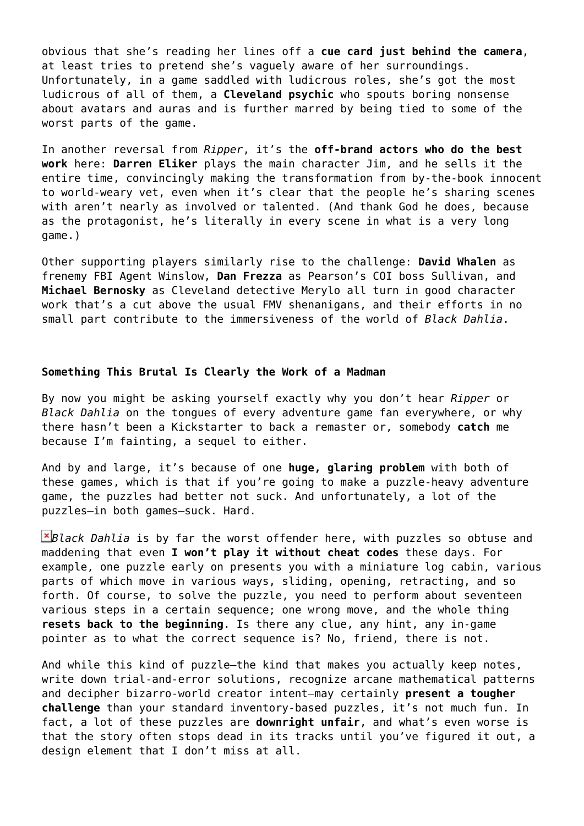obvious that she's reading her lines off a **cue card just behind the camera**, at least tries to pretend she's vaguely aware of her surroundings. Unfortunately, in a game saddled with ludicrous roles, she's got the most ludicrous of all of them, a **Cleveland psychic** who spouts boring nonsense about avatars and auras and is further marred by being tied to some of the worst parts of the game.

In another reversal from *Ripper*, it's the **off-brand actors who do the best work** here: **Darren Eliker** plays the main character Jim, and he sells it the entire time, convincingly making the transformation from by-the-book innocent to world-weary vet, even when it's clear that the people he's sharing scenes with aren't nearly as involved or talented. (And thank God he does, because as the protagonist, he's literally in every scene in what is a very long game.)

Other supporting players similarly rise to the challenge: **David Whalen** as frenemy FBI Agent Winslow, **Dan Frezza** as Pearson's COI boss Sullivan, and **Michael Bernosky** as Cleveland detective Merylo all turn in good character work that's a cut above the usual FMV shenanigans, and their efforts in no small part contribute to the immersiveness of the world of *Black Dahlia*.

#### **Something This Brutal Is Clearly the Work of a Madman**

By now you might be asking yourself exactly why you don't hear *Ripper* or *Black Dahlia* on the tongues of every adventure game fan everywhere, or why there hasn't been a Kickstarter to back a remaster or, somebody **catch** me because I'm fainting, a sequel to either.

And by and large, it's because of one **huge, glaring problem** with both of these games, which is that if you're going to make a puzzle-heavy adventure game, the puzzles had better not suck. And unfortunately, a lot of the puzzles–in both games–suck. Hard.

*Black Dahlia* is by far the worst offender here, with puzzles so obtuse and maddening that even **I won't play it without cheat codes** these days. For example, one puzzle early on presents you with a miniature log cabin, various parts of which move in various ways, sliding, opening, retracting, and so forth. Of course, to solve the puzzle, you need to perform about seventeen various steps in a certain sequence; one wrong move, and the whole thing **resets back to the beginning**. Is there any clue, any hint, any in-game pointer as to what the correct sequence is? No, friend, there is not.

And while this kind of puzzle–the kind that makes you actually keep notes, write down trial-and-error solutions, recognize arcane mathematical patterns and decipher bizarro-world creator intent–may certainly **present a tougher challenge** than your standard inventory-based puzzles, it's not much fun. In fact, a lot of these puzzles are **downright unfair**, and what's even worse is that the story often stops dead in its tracks until you've figured it out, a design element that I don't miss at all.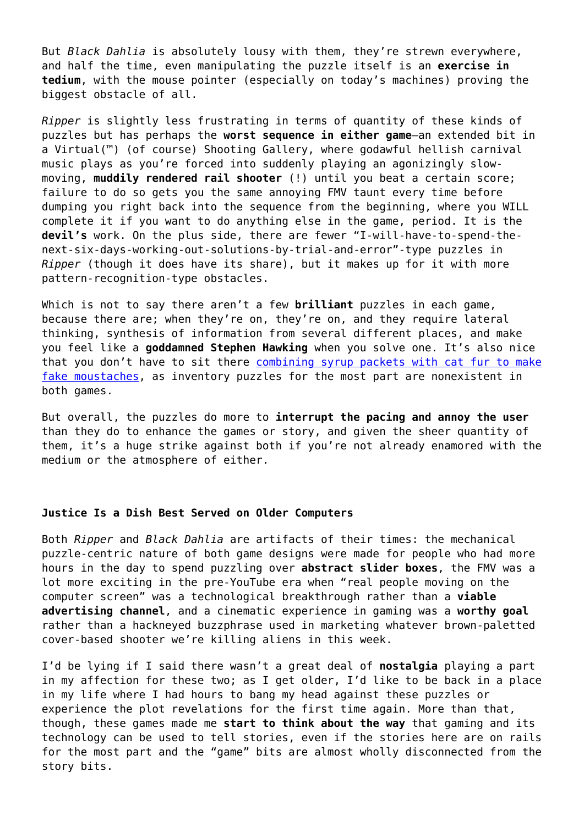But *Black Dahlia* is absolutely lousy with them, they're strewn everywhere, and half the time, even manipulating the puzzle itself is an **exercise in tedium**, with the mouse pointer (especially on today's machines) proving the biggest obstacle of all.

*Ripper* is slightly less frustrating in terms of quantity of these kinds of puzzles but has perhaps the **worst sequence in either game**–an extended bit in a Virtual(™) (of course) Shooting Gallery, where godawful hellish carnival music plays as you're forced into suddenly playing an agonizingly slowmoving, **muddily rendered rail shooter** (!) until you beat a certain score; failure to do so gets you the same annoying FMV taunt every time before dumping you right back into the sequence from the beginning, where you WILL complete it if you want to do anything else in the game, period. It is the **devil's** work. On the plus side, there are fewer "I-will-have-to-spend-thenext-six-days-working-out-solutions-by-trial-and-error"-type puzzles in *Ripper* (though it does have its share), but it makes up for it with more pattern-recognition-type obstacles.

Which is not to say there aren't a few **brilliant** puzzles in each game, because there are; when they're on, they're on, and they require lateral thinking, synthesis of information from several different places, and make you feel like a **goddamned Stephen Hawking** when you solve one. It's also nice that you don't have to sit there [combining syrup packets with cat fur to make](http://www.oldmanmurray.com/features/79.html) [fake moustaches,](http://www.oldmanmurray.com/features/79.html) as inventory puzzles for the most part are nonexistent in both games.

But overall, the puzzles do more to **interrupt the pacing and annoy the user** than they do to enhance the games or story, and given the sheer quantity of them, it's a huge strike against both if you're not already enamored with the medium or the atmosphere of either.

### **Justice Is a Dish Best Served on Older Computers**

Both *Ripper* and *Black Dahlia* are artifacts of their times: the mechanical puzzle-centric nature of both game designs were made for people who had more hours in the day to spend puzzling over **abstract slider boxes**, the FMV was a lot more exciting in the pre-YouTube era when "real people moving on the computer screen" was a technological breakthrough rather than a **viable advertising channel**, and a cinematic experience in gaming was a **worthy goal** rather than a hackneyed buzzphrase used in marketing whatever brown-paletted cover-based shooter we're killing aliens in this week.

I'd be lying if I said there wasn't a great deal of **nostalgia** playing a part in my affection for these two; as I get older, I'd like to be back in a place in my life where I had hours to bang my head against these puzzles or experience the plot revelations for the first time again. More than that, though, these games made me **start to think about the way** that gaming and its technology can be used to tell stories, even if the stories here are on rails for the most part and the "game" bits are almost wholly disconnected from the story bits.